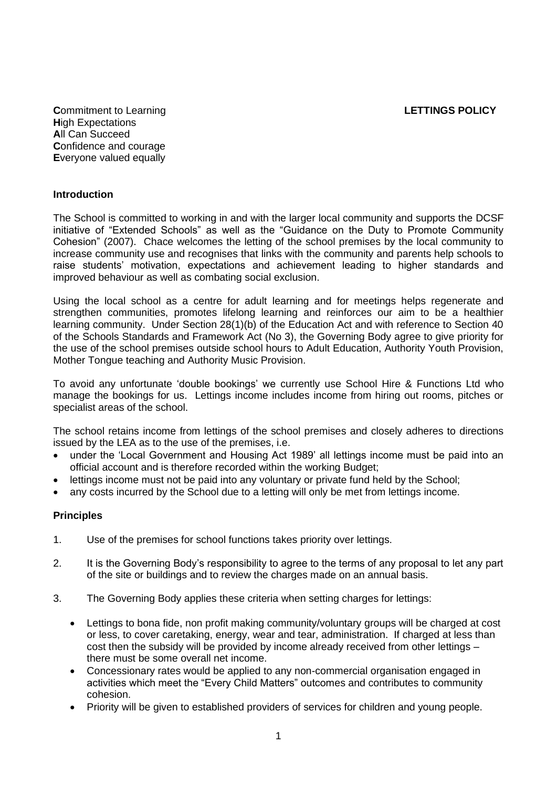**Commitment to Learning LETTINGS POLICY H**igh Expectations **A**ll Can Succeed **C**onfidence and courage **E**veryone valued equally

#### **Introduction**

The School is committed to working in and with the larger local community and supports the DCSF initiative of "Extended Schools" as well as the "Guidance on the Duty to Promote Community Cohesion" (2007). Chace welcomes the letting of the school premises by the local community to increase community use and recognises that links with the community and parents help schools to raise students' motivation, expectations and achievement leading to higher standards and improved behaviour as well as combating social exclusion.

Using the local school as a centre for adult learning and for meetings helps regenerate and strengthen communities, promotes lifelong learning and reinforces our aim to be a healthier learning community. Under Section 28(1)(b) of the Education Act and with reference to Section 40 of the Schools Standards and Framework Act (No 3), the Governing Body agree to give priority for the use of the school premises outside school hours to Adult Education, Authority Youth Provision, Mother Tongue teaching and Authority Music Provision.

To avoid any unfortunate 'double bookings' we currently use School Hire & Functions Ltd who manage the bookings for us. Lettings income includes income from hiring out rooms, pitches or specialist areas of the school.

The school retains income from lettings of the school premises and closely adheres to directions issued by the LEA as to the use of the premises, i.e.

- under the 'Local Government and Housing Act 1989' all lettings income must be paid into an official account and is therefore recorded within the working Budget;
- lettings income must not be paid into any voluntary or private fund held by the School;
- any costs incurred by the School due to a letting will only be met from lettings income.

### **Principles**

- 1. Use of the premises for school functions takes priority over lettings.
- 2. It is the Governing Body's responsibility to agree to the terms of any proposal to let any part of the site or buildings and to review the charges made on an annual basis.
- 3. The Governing Body applies these criteria when setting charges for lettings:
	- Lettings to bona fide, non profit making community/voluntary groups will be charged at cost or less, to cover caretaking, energy, wear and tear, administration. If charged at less than cost then the subsidy will be provided by income already received from other lettings – there must be some overall net income.
	- Concessionary rates would be applied to any non-commercial organisation engaged in activities which meet the "Every Child Matters" outcomes and contributes to community cohesion.
	- Priority will be given to established providers of services for children and young people.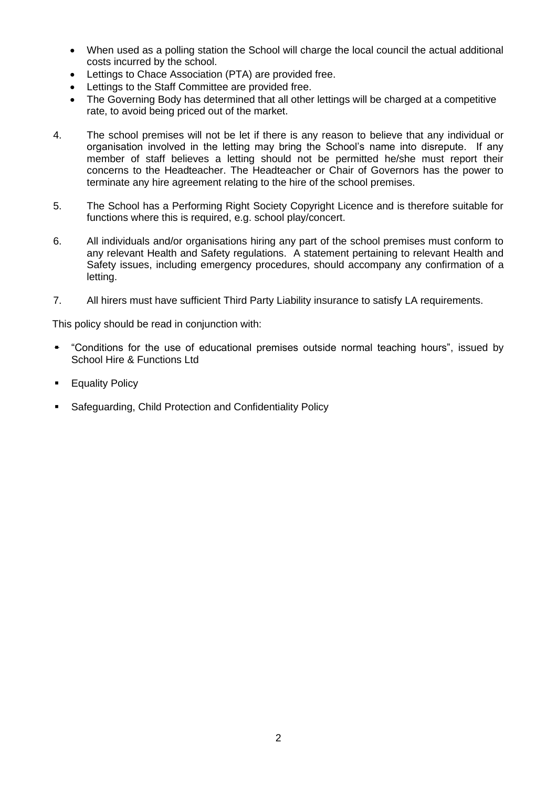- When used as a polling station the School will charge the local council the actual additional costs incurred by the school.
- Lettings to Chace Association (PTA) are provided free.
- Lettings to the Staff Committee are provided free.
- The Governing Body has determined that all other lettings will be charged at a competitive rate, to avoid being priced out of the market.
- 4. The school premises will not be let if there is any reason to believe that any individual or organisation involved in the letting may bring the School's name into disrepute. If any member of staff believes a letting should not be permitted he/she must report their concerns to the Headteacher. The Headteacher or Chair of Governors has the power to terminate any hire agreement relating to the hire of the school premises.
- 5. The School has a Performing Right Society Copyright Licence and is therefore suitable for functions where this is required, e.g. school play/concert.
- 6. All individuals and/or organisations hiring any part of the school premises must conform to any relevant Health and Safety regulations. A statement pertaining to relevant Health and Safety issues, including emergency procedures, should accompany any confirmation of a letting.
- 7. All hirers must have sufficient Third Party Liability insurance to satisfy LA requirements.

This policy should be read in conjunction with:

- "Conditions for the use of educational premises outside normal teaching hours", issued by School Hire & Functions Ltd
- **Equality Policy**
- Safeguarding, Child Protection and Confidentiality Policy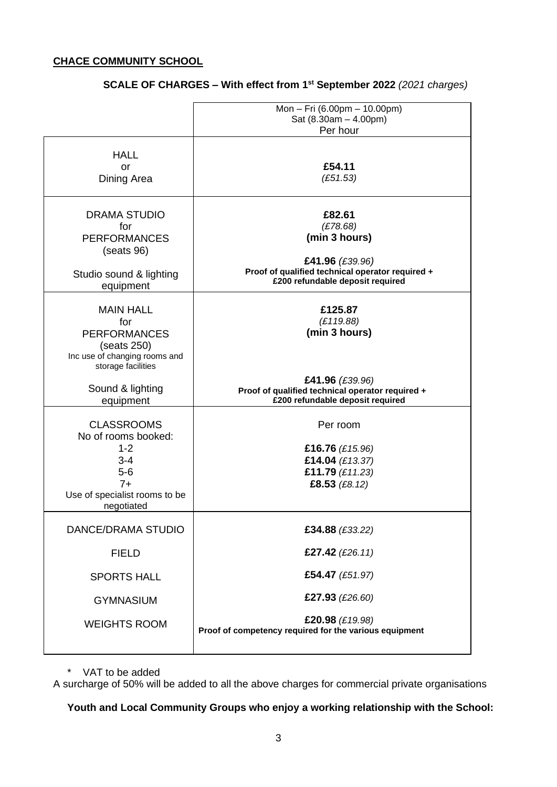## **CHACE COMMUNITY SCHOOL**

|                                                                                                                                | Mon - Fri (6.00pm - 10.00pm)<br>Sat (8.30am - 4.00pm)<br>Per hour                                       |
|--------------------------------------------------------------------------------------------------------------------------------|---------------------------------------------------------------------------------------------------------|
| <b>HALL</b><br>or<br>Dining Area                                                                                               | £54.11<br>(E51.53)                                                                                      |
| <b>DRAMA STUDIO</b><br>for<br><b>PERFORMANCES</b><br>(seats 96)                                                                | £82.61<br>(E78.68)<br>(min 3 hours)<br>£41.96 (£39.96)                                                  |
| Studio sound & lighting<br>equipment                                                                                           | Proof of qualified technical operator required +<br>£200 refundable deposit required                    |
| <b>MAIN HALL</b><br>for<br><b>PERFORMANCES</b><br>(seats 250)<br>Inc use of changing rooms and<br>storage facilities           | £125.87<br>(E119.88)<br>(min 3 hours)                                                                   |
| Sound & lighting<br>equipment                                                                                                  | £41.96 (£39.96)<br>Proof of qualified technical operator required +<br>£200 refundable deposit required |
| <b>CLASSROOMS</b><br>No of rooms booked:<br>$1 - 2$<br>$3 - 4$<br>$5-6$<br>$7+$<br>Use of specialist rooms to be<br>negotiated | Per room<br>£16.76 $(E15.96)$<br>£14.04 (£13.37)<br>£11.79 (£11.23)<br>£8.53 (£8.12)                    |
| DANCE/DRAMA STUDIO                                                                                                             | £34.88 (£33.22)                                                                                         |
| <b>FIELD</b>                                                                                                                   | £27.42 $(E26.11)$                                                                                       |
| <b>SPORTS HALL</b>                                                                                                             | £54.47 (£51.97)                                                                                         |
| <b>GYMNASIUM</b>                                                                                                               | £27.93 (£26.60)                                                                                         |
| <b>WEIGHTS ROOM</b>                                                                                                            | £20.98 (£19.98)<br>Proof of competency required for the various equipment                               |

# **SCALE OF CHARGES – With effect from 1st September 2022** *(2021 charges)*

\* VAT to be added

A surcharge of 50% will be added to all the above charges for commercial private organisations

# **Youth and Local Community Groups who enjoy a working relationship with the School:**